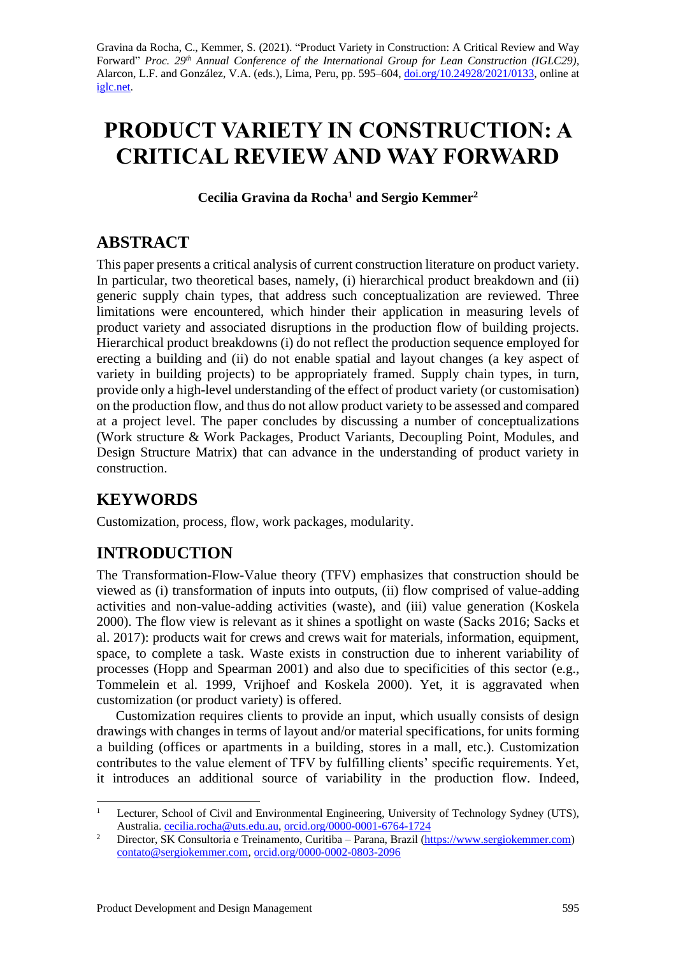Gravina da Rocha, C., Kemmer, S. (2021). "Product Variety in Construction: A Critical Review and Way Forward" *Proc.* 29<sup>th</sup> Annual Conference of the International Group for Lean Construction (IGLC29), Alarcon, L.F. and González, V.A. (eds.)*,* Lima, Peru, pp. 595–604, [doi.org/10.24928/2021/0133,](https://doi.org/10.24928/2021/0133) online at [iglc.net.](http://iglc.net/)

# **PRODUCT VARIETY IN CONSTRUCTION: A CRITICAL REVIEW AND WAY FORWARD**

**Cecilia Gravina da Rocha<sup>1</sup> and Sergio Kemmer<sup>2</sup>**

# **ABSTRACT**

This paper presents a critical analysis of current construction literature on product variety. In particular, two theoretical bases, namely, (i) hierarchical product breakdown and (ii) generic supply chain types, that address such conceptualization are reviewed. Three limitations were encountered, which hinder their application in measuring levels of product variety and associated disruptions in the production flow of building projects. Hierarchical product breakdowns (i) do not reflect the production sequence employed for erecting a building and (ii) do not enable spatial and layout changes (a key aspect of variety in building projects) to be appropriately framed. Supply chain types, in turn, provide only a high-level understanding of the effect of product variety (or customisation) on the production flow, and thus do not allow product variety to be assessed and compared at a project level. The paper concludes by discussing a number of conceptualizations (Work structure & Work Packages, Product Variants, Decoupling Point, Modules, and Design Structure Matrix) that can advance in the understanding of product variety in construction.

# **KEYWORDS**

Customization, process, flow, work packages, modularity.

# **INTRODUCTION**

The Transformation-Flow-Value theory (TFV) emphasizes that construction should be viewed as (i) transformation of inputs into outputs, (ii) flow comprised of value-adding activities and non-value-adding activities (waste), and (iii) value generation (Koskela 2000). The flow view is relevant as it shines a spotlight on waste (Sacks 2016; Sacks et al. 2017): products wait for crews and crews wait for materials, information, equipment, space, to complete a task. Waste exists in construction due to inherent variability of processes (Hopp and Spearman 2001) and also due to specificities of this sector (e.g., Tommelein et al. 1999, Vrijhoef and Koskela 2000). Yet, it is aggravated when customization (or product variety) is offered.

Customization requires clients to provide an input, which usually consists of design drawings with changes in terms of layout and/or material specifications, for units forming a building (offices or apartments in a building, stores in a mall, etc.). Customization contributes to the value element of TFV by fulfilling clients' specific requirements. Yet, it introduces an additional source of variability in the production flow. Indeed,

<sup>1</sup> Lecturer, School of Civil and Environmental Engineering, University of Technology Sydney (UTS), Australia[. cecilia.rocha@uts.edu.au,](mailto:cecilia.rocha@uts.edu.au) [orcid.org/0000-0001-6764-1724](https://orcid.org/0000-0001-6764-1724)

<sup>&</sup>lt;sup>2</sup> Director, SK Consultoria e Treinamento, Curitiba – Parana, Brazil [\(https://www.sergiokemmer.com\)](https://www.sergiokemmer.com/) [contato@sergiokemmer.com,](mailto:contato@sergiokemmer.com) [orcid.org/0000-0002-0803-2096](https://orcid.org/0000-0002-0803-2096)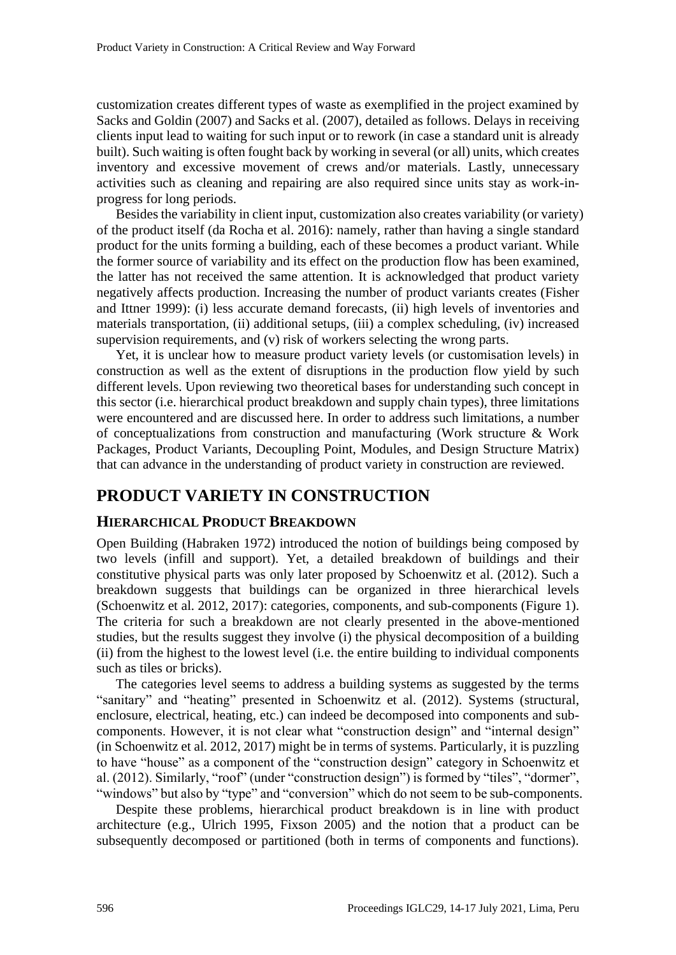customization creates different types of waste as exemplified in the project examined by Sacks and Goldin (2007) and Sacks et al. (2007), detailed as follows. Delays in receiving clients input lead to waiting for such input or to rework (in case a standard unit is already built). Such waiting is often fought back by working in several (or all) units, which creates inventory and excessive movement of crews and/or materials. Lastly, unnecessary activities such as cleaning and repairing are also required since units stay as work-inprogress for long periods.

Besides the variability in client input, customization also creates variability (or variety) of the product itself (da Rocha et al. 2016): namely, rather than having a single standard product for the units forming a building, each of these becomes a product variant. While the former source of variability and its effect on the production flow has been examined, the latter has not received the same attention. It is acknowledged that product variety negatively affects production. Increasing the number of product variants creates (Fisher and Ittner 1999): (i) less accurate demand forecasts, (ii) high levels of inventories and materials transportation, (ii) additional setups, (iii) a complex scheduling, (iv) increased supervision requirements, and (v) risk of workers selecting the wrong parts.

Yet, it is unclear how to measure product variety levels (or customisation levels) in construction as well as the extent of disruptions in the production flow yield by such different levels. Upon reviewing two theoretical bases for understanding such concept in this sector (i.e. hierarchical product breakdown and supply chain types), three limitations were encountered and are discussed here. In order to address such limitations, a number of conceptualizations from construction and manufacturing (Work structure & Work Packages, Product Variants, Decoupling Point, Modules, and Design Structure Matrix) that can advance in the understanding of product variety in construction are reviewed.

### **PRODUCT VARIETY IN CONSTRUCTION**

#### **HIERARCHICAL PRODUCT BREAKDOWN**

Open Building (Habraken 1972) introduced the notion of buildings being composed by two levels (infill and support). Yet, a detailed breakdown of buildings and their constitutive physical parts was only later proposed by Schoenwitz et al. (2012). Such a breakdown suggests that buildings can be organized in three hierarchical levels (Schoenwitz et al. 2012, 2017): categories, components, and sub-components (Figure 1). The criteria for such a breakdown are not clearly presented in the above-mentioned studies, but the results suggest they involve (i) the physical decomposition of a building (ii) from the highest to the lowest level (i.e. the entire building to individual components such as tiles or bricks).

The categories level seems to address a building systems as suggested by the terms "sanitary" and "heating" presented in Schoenwitz et al. (2012). Systems (structural, enclosure, electrical, heating, etc.) can indeed be decomposed into components and subcomponents. However, it is not clear what "construction design" and "internal design" (in Schoenwitz et al. 2012, 2017) might be in terms of systems. Particularly, it is puzzling to have "house" as a component of the "construction design" category in Schoenwitz et al. (2012). Similarly, "roof" (under "construction design") is formed by "tiles", "dormer", "windows" but also by "type" and "conversion" which do not seem to be sub-components.

Despite these problems, hierarchical product breakdown is in line with product architecture (e.g., Ulrich 1995, Fixson 2005) and the notion that a product can be subsequently decomposed or partitioned (both in terms of components and functions).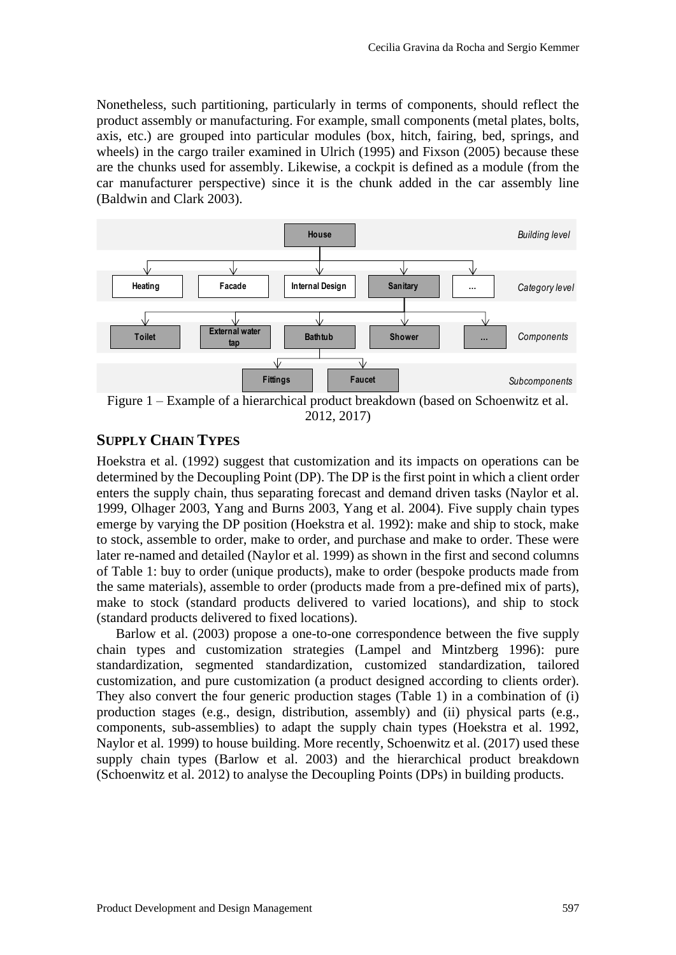Nonetheless, such partitioning, particularly in terms of components, should reflect the product assembly or manufacturing. For example, small components (metal plates, bolts, axis, etc.) are grouped into particular modules (box, hitch, fairing, bed, springs, and wheels) in the cargo trailer examined in Ulrich (1995) and Fixson (2005) because these are the chunks used for assembly. Likewise, a cockpit is defined as a module (from the car manufacturer perspective) since it is the chunk added in the car assembly line (Baldwin and Clark 2003).



Figure 1 – Example of a hierarchical product breakdown (based on Schoenwitz et al. 2012, 2017)

### **SUPPLY CHAIN TYPES**

Hoekstra et al. (1992) suggest that customization and its impacts on operations can be determined by the Decoupling Point (DP). The DP is the first point in which a client order enters the supply chain, thus separating forecast and demand driven tasks (Naylor et al. 1999, Olhager 2003, Yang and Burns 2003, Yang et al. 2004). Five supply chain types emerge by varying the DP position (Hoekstra et al. 1992): make and ship to stock, make to stock, assemble to order, make to order, and purchase and make to order. These were later re-named and detailed (Naylor et al. 1999) as shown in the first and second columns of Table 1: buy to order (unique products), make to order (bespoke products made from the same materials), assemble to order (products made from a pre-defined mix of parts), make to stock (standard products delivered to varied locations), and ship to stock (standard products delivered to fixed locations).

Barlow et al. (2003) propose a one-to-one correspondence between the five supply chain types and customization strategies (Lampel and Mintzberg 1996): pure standardization, segmented standardization, customized standardization, tailored customization, and pure customization (a product designed according to clients order). They also convert the four generic production stages (Table 1) in a combination of (i) production stages (e.g., design, distribution, assembly) and (ii) physical parts (e.g., components, sub-assemblies) to adapt the supply chain types (Hoekstra et al. 1992, Naylor et al. 1999) to house building. More recently, Schoenwitz et al. (2017) used these supply chain types (Barlow et al. 2003) and the hierarchical product breakdown (Schoenwitz et al. 2012) to analyse the Decoupling Points (DPs) in building products.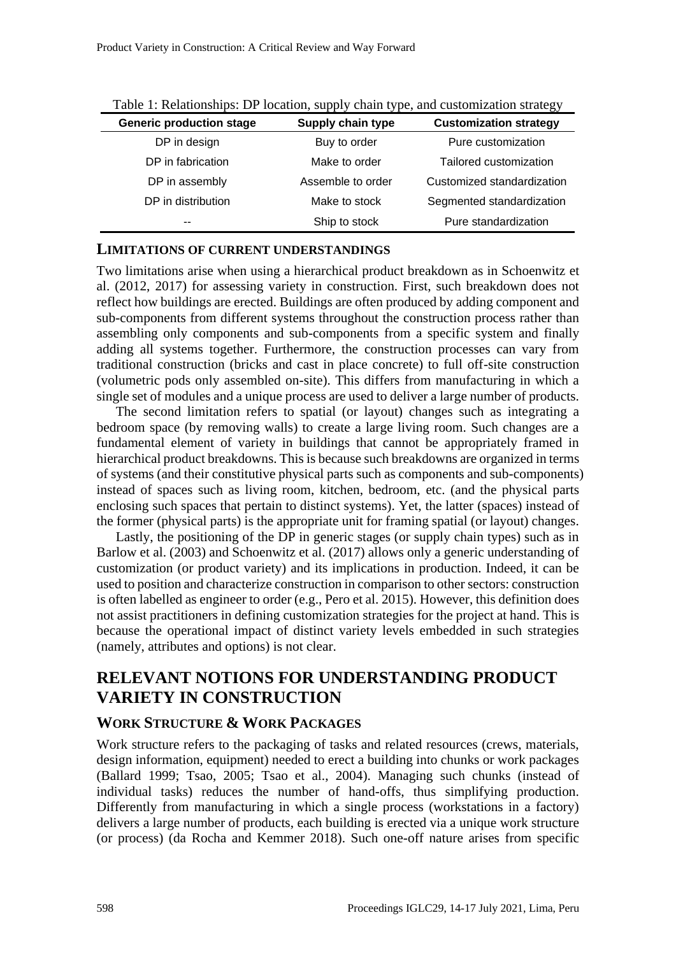| <b>Generic production stage</b> | Supply chain type | <b>Customization strategy</b> |
|---------------------------------|-------------------|-------------------------------|
| DP in design                    | Buy to order      | Pure customization            |
| DP in fabrication               | Make to order     | Tailored customization        |
| DP in assembly                  | Assemble to order | Customized standardization    |
| DP in distribution              | Make to stock     | Segmented standardization     |
|                                 | Ship to stock     | Pure standardization          |

|  |  |  | Table 1: Relationships: DP location, supply chain type, and customization strategy |
|--|--|--|------------------------------------------------------------------------------------|
|--|--|--|------------------------------------------------------------------------------------|

#### **LIMITATIONS OF CURRENT UNDERSTANDINGS**

Two limitations arise when using a hierarchical product breakdown as in Schoenwitz et al. (2012, 2017) for assessing variety in construction. First, such breakdown does not reflect how buildings are erected. Buildings are often produced by adding component and sub-components from different systems throughout the construction process rather than assembling only components and sub-components from a specific system and finally adding all systems together. Furthermore, the construction processes can vary from traditional construction (bricks and cast in place concrete) to full off-site construction (volumetric pods only assembled on-site). This differs from manufacturing in which a single set of modules and a unique process are used to deliver a large number of products.

The second limitation refers to spatial (or layout) changes such as integrating a bedroom space (by removing walls) to create a large living room. Such changes are a fundamental element of variety in buildings that cannot be appropriately framed in hierarchical product breakdowns. This is because such breakdowns are organized in terms of systems (and their constitutive physical parts such as components and sub-components) instead of spaces such as living room, kitchen, bedroom, etc. (and the physical parts enclosing such spaces that pertain to distinct systems). Yet, the latter (spaces) instead of the former (physical parts) is the appropriate unit for framing spatial (or layout) changes.

Lastly, the positioning of the DP in generic stages (or supply chain types) such as in Barlow et al. (2003) and Schoenwitz et al. (2017) allows only a generic understanding of customization (or product variety) and its implications in production. Indeed, it can be used to position and characterize construction in comparison to other sectors: construction is often labelled as engineer to order (e.g., Pero et al. 2015). However, this definition does not assist practitioners in defining customization strategies for the project at hand. This is because the operational impact of distinct variety levels embedded in such strategies (namely, attributes and options) is not clear.

# **RELEVANT NOTIONS FOR UNDERSTANDING PRODUCT VARIETY IN CONSTRUCTION**

#### **WORK STRUCTURE & WORK PACKAGES**

Work structure refers to the packaging of tasks and related resources (crews, materials, design information, equipment) needed to erect a building into chunks or work packages (Ballard 1999; Tsao, 2005; Tsao et al., 2004). Managing such chunks (instead of individual tasks) reduces the number of hand-offs, thus simplifying production. Differently from manufacturing in which a single process (workstations in a factory) delivers a large number of products, each building is erected via a unique work structure (or process) (da Rocha and Kemmer 2018). Such one-off nature arises from specific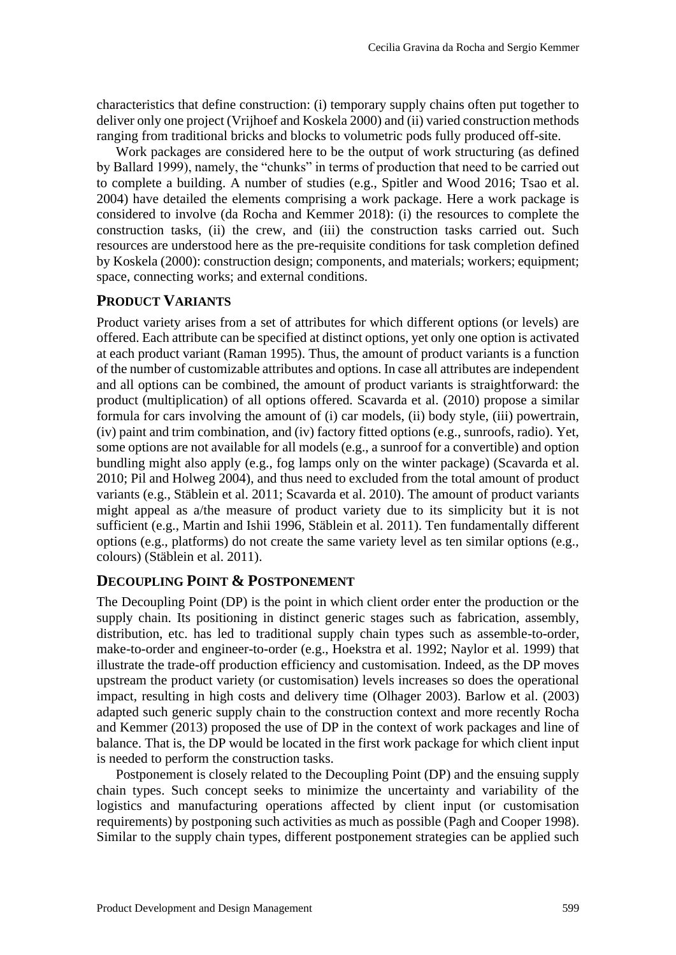characteristics that define construction: (i) temporary supply chains often put together to deliver only one project (Vrijhoef and Koskela 2000) and (ii) varied construction methods ranging from traditional bricks and blocks to volumetric pods fully produced off-site.

Work packages are considered here to be the output of work structuring (as defined by Ballard 1999), namely, the "chunks" in terms of production that need to be carried out to complete a building. A number of studies (e.g., Spitler and Wood 2016; Tsao et al. 2004) have detailed the elements comprising a work package. Here a work package is considered to involve (da Rocha and Kemmer 2018): (i) the resources to complete the construction tasks, (ii) the crew, and (iii) the construction tasks carried out. Such resources are understood here as the pre-requisite conditions for task completion defined by Koskela (2000): construction design; components, and materials; workers; equipment; space, connecting works; and external conditions.

### **PRODUCT VARIANTS**

Product variety arises from a set of attributes for which different options (or levels) are offered. Each attribute can be specified at distinct options, yet only one option is activated at each product variant (Raman 1995). Thus, the amount of product variants is a function of the number of customizable attributes and options. In case all attributes are independent and all options can be combined, the amount of product variants is straightforward: the product (multiplication) of all options offered. Scavarda et al. (2010) propose a similar formula for cars involving the amount of (i) car models, (ii) body style, (iii) powertrain, (iv) paint and trim combination, and (iv) factory fitted options (e.g., sunroofs, radio). Yet, some options are not available for all models (e.g., a sunroof for a convertible) and option bundling might also apply (e.g., fog lamps only on the winter package) (Scavarda et al. 2010; Pil and Holweg 2004), and thus need to excluded from the total amount of product variants (e.g., Stäblein et al. 2011; Scavarda et al. 2010). The amount of product variants might appeal as a/the measure of product variety due to its simplicity but it is not sufficient (e.g., Martin and Ishii 1996, Stäblein et al. 2011). Ten fundamentally different options (e.g., platforms) do not create the same variety level as ten similar options (e.g., colours) (Stäblein et al. 2011).

### **DECOUPLING POINT & POSTPONEMENT**

The Decoupling Point (DP) is the point in which client order enter the production or the supply chain. Its positioning in distinct generic stages such as fabrication, assembly, distribution, etc. has led to traditional supply chain types such as assemble-to-order, make-to-order and engineer-to-order (e.g., Hoekstra et al. 1992; Naylor et al. 1999) that illustrate the trade-off production efficiency and customisation. Indeed, as the DP moves upstream the product variety (or customisation) levels increases so does the operational impact, resulting in high costs and delivery time (Olhager 2003). Barlow et al. (2003) adapted such generic supply chain to the construction context and more recently Rocha and Kemmer (2013) proposed the use of DP in the context of work packages and line of balance. That is, the DP would be located in the first work package for which client input is needed to perform the construction tasks.

Postponement is closely related to the Decoupling Point (DP) and the ensuing supply chain types. Such concept seeks to minimize the uncertainty and variability of the logistics and manufacturing operations affected by client input (or customisation requirements) by postponing such activities as much as possible (Pagh and Cooper 1998). Similar to the supply chain types, different postponement strategies can be applied such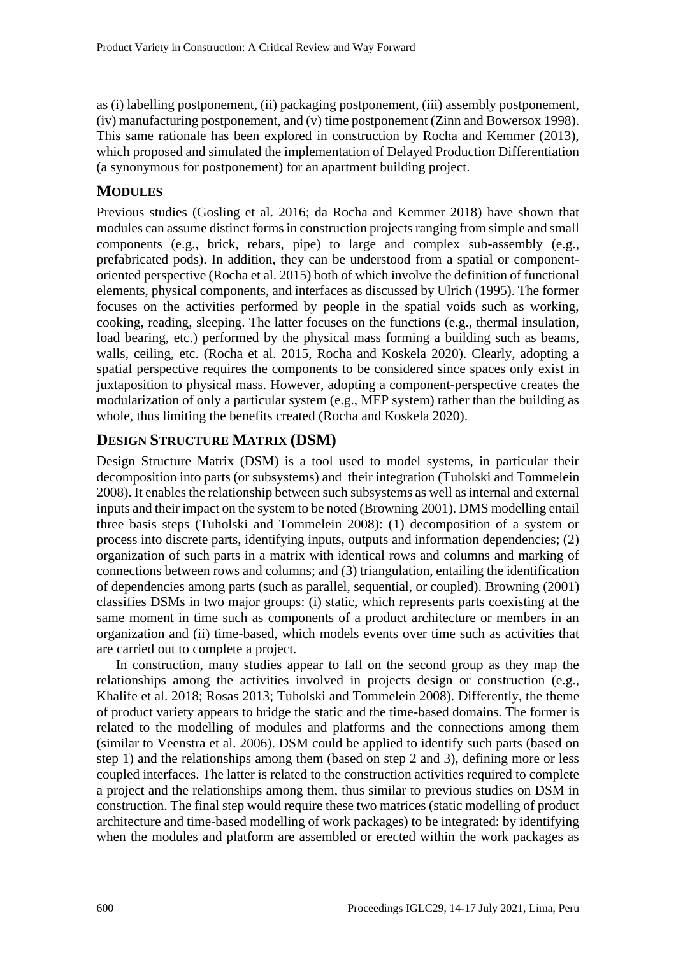as (i) labelling postponement, (ii) packaging postponement, (iii) assembly postponement, (iv) manufacturing postponement, and (v) time postponement (Zinn and Bowersox 1998). This same rationale has been explored in construction by Rocha and Kemmer (2013), which proposed and simulated the implementation of Delayed Production Differentiation (a synonymous for postponement) for an apartment building project.

### **MODULES**

Previous studies (Gosling et al. 2016; da Rocha and Kemmer 2018) have shown that modules can assume distinct forms in construction projects ranging from simple and small components (e.g., brick, rebars, pipe) to large and complex sub-assembly (e.g., prefabricated pods). In addition, they can be understood from a spatial or componentoriented perspective (Rocha et al. 2015) both of which involve the definition of functional elements, physical components, and interfaces as discussed by Ulrich (1995). The former focuses on the activities performed by people in the spatial voids such as working, cooking, reading, sleeping. The latter focuses on the functions (e.g., thermal insulation, load bearing, etc.) performed by the physical mass forming a building such as beams, walls, ceiling, etc. (Rocha et al. 2015, Rocha and Koskela 2020). Clearly, adopting a spatial perspective requires the components to be considered since spaces only exist in juxtaposition to physical mass. However, adopting a component-perspective creates the modularization of only a particular system (e.g., MEP system) rather than the building as whole, thus limiting the benefits created (Rocha and Koskela 2020).

### **DESIGN STRUCTURE MATRIX (DSM)**

Design Structure Matrix (DSM) is a tool used to model systems, in particular their decomposition into parts (or subsystems) and their integration (Tuholski and Tommelein 2008). It enables the relationship between such subsystems as well as internal and external inputs and their impact on the system to be noted (Browning 2001). DMS modelling entail three basis steps (Tuholski and Tommelein 2008): (1) decomposition of a system or process into discrete parts, identifying inputs, outputs and information dependencies; (2) organization of such parts in a matrix with identical rows and columns and marking of connections between rows and columns; and (3) triangulation, entailing the identification of dependencies among parts (such as parallel, sequential, or coupled). Browning (2001) classifies DSMs in two major groups: (i) static, which represents parts coexisting at the same moment in time such as components of a product architecture or members in an organization and (ii) time-based, which models events over time such as activities that are carried out to complete a project.

In construction, many studies appear to fall on the second group as they map the relationships among the activities involved in projects design or construction (e.g., Khalife et al. 2018; Rosas 2013; Tuholski and Tommelein 2008). Differently, the theme of product variety appears to bridge the static and the time-based domains. The former is related to the modelling of modules and platforms and the connections among them (similar to Veenstra et al. 2006). DSM could be applied to identify such parts (based on step 1) and the relationships among them (based on step 2 and 3), defining more or less coupled interfaces. The latter is related to the construction activities required to complete a project and the relationships among them, thus similar to previous studies on DSM in construction. The final step would require these two matrices (static modelling of product architecture and time-based modelling of work packages) to be integrated: by identifying when the modules and platform are assembled or erected within the work packages as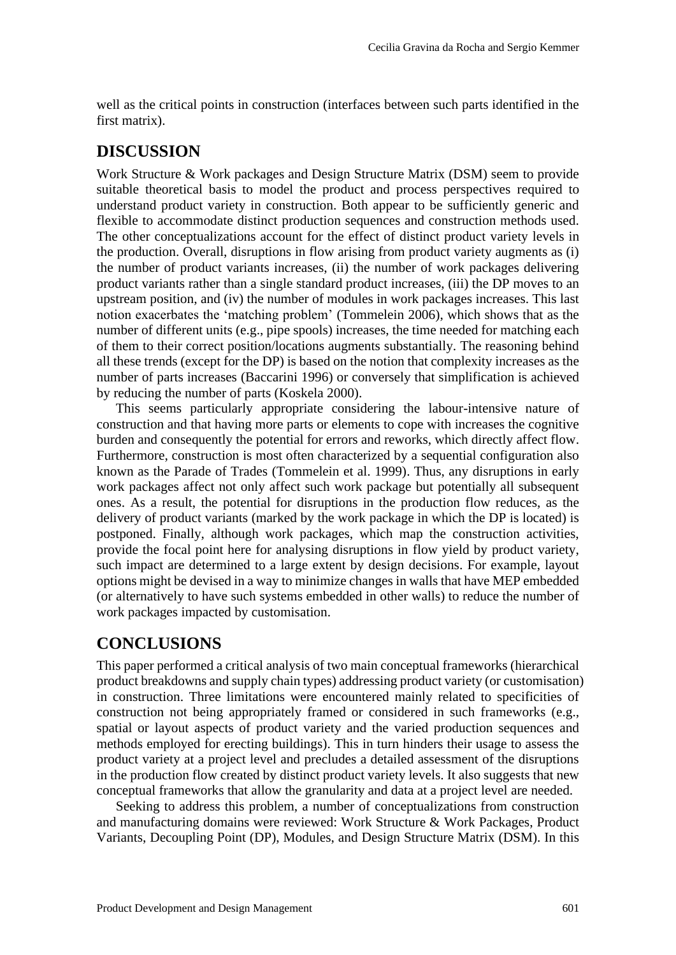well as the critical points in construction (interfaces between such parts identified in the first matrix).

# **DISCUSSION**

Work Structure & Work packages and Design Structure Matrix (DSM) seem to provide suitable theoretical basis to model the product and process perspectives required to understand product variety in construction. Both appear to be sufficiently generic and flexible to accommodate distinct production sequences and construction methods used. The other conceptualizations account for the effect of distinct product variety levels in the production. Overall, disruptions in flow arising from product variety augments as (i) the number of product variants increases, (ii) the number of work packages delivering product variants rather than a single standard product increases, (iii) the DP moves to an upstream position, and (iv) the number of modules in work packages increases. This last notion exacerbates the 'matching problem' (Tommelein 2006), which shows that as the number of different units (e.g., pipe spools) increases, the time needed for matching each of them to their correct position/locations augments substantially. The reasoning behind all these trends (except for the DP) is based on the notion that complexity increases as the number of parts increases (Baccarini 1996) or conversely that simplification is achieved by reducing the number of parts (Koskela 2000).

This seems particularly appropriate considering the labour-intensive nature of construction and that having more parts or elements to cope with increases the cognitive burden and consequently the potential for errors and reworks, which directly affect flow. Furthermore, construction is most often characterized by a sequential configuration also known as the Parade of Trades (Tommelein et al. 1999). Thus, any disruptions in early work packages affect not only affect such work package but potentially all subsequent ones. As a result, the potential for disruptions in the production flow reduces, as the delivery of product variants (marked by the work package in which the DP is located) is postponed. Finally, although work packages, which map the construction activities, provide the focal point here for analysing disruptions in flow yield by product variety, such impact are determined to a large extent by design decisions. For example, layout options might be devised in a way to minimize changes in walls that have MEP embedded (or alternatively to have such systems embedded in other walls) to reduce the number of work packages impacted by customisation.

# **CONCLUSIONS**

This paper performed a critical analysis of two main conceptual frameworks (hierarchical product breakdowns and supply chain types) addressing product variety (or customisation) in construction. Three limitations were encountered mainly related to specificities of construction not being appropriately framed or considered in such frameworks (e.g., spatial or layout aspects of product variety and the varied production sequences and methods employed for erecting buildings). This in turn hinders their usage to assess the product variety at a project level and precludes a detailed assessment of the disruptions in the production flow created by distinct product variety levels. It also suggests that new conceptual frameworks that allow the granularity and data at a project level are needed.

Seeking to address this problem, a number of conceptualizations from construction and manufacturing domains were reviewed: Work Structure & Work Packages, Product Variants, Decoupling Point (DP), Modules, and Design Structure Matrix (DSM). In this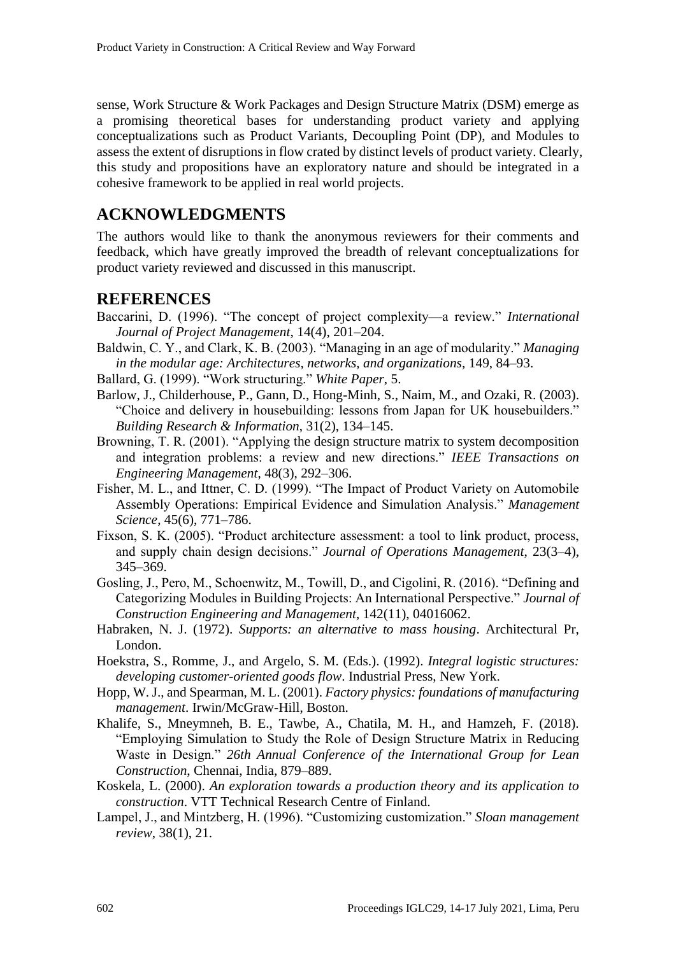sense, Work Structure & Work Packages and Design Structure Matrix (DSM) emerge as a promising theoretical bases for understanding product variety and applying conceptualizations such as Product Variants, Decoupling Point (DP), and Modules to assess the extent of disruptions in flow crated by distinct levels of product variety. Clearly, this study and propositions have an exploratory nature and should be integrated in a cohesive framework to be applied in real world projects.

## **ACKNOWLEDGMENTS**

The authors would like to thank the anonymous reviewers for their comments and feedback, which have greatly improved the breadth of relevant conceptualizations for product variety reviewed and discussed in this manuscript.

### **REFERENCES**

- Baccarini, D. (1996). "The concept of project complexity—a review." *International Journal of Project Management*, 14(4), 201–204.
- Baldwin, C. Y., and Clark, K. B. (2003). "Managing in an age of modularity." *Managing in the modular age: Architectures, networks, and organizations*, 149, 84–93.

Ballard, G. (1999). "Work structuring." *White Paper*, 5.

- Barlow, J., Childerhouse, P., Gann, D., Hong-Minh, S., Naim, M., and Ozaki, R. (2003). "Choice and delivery in housebuilding: lessons from Japan for UK housebuilders." *Building Research & Information*, 31(2), 134–145.
- Browning, T. R. (2001). "Applying the design structure matrix to system decomposition and integration problems: a review and new directions." *IEEE Transactions on Engineering Management*, 48(3), 292–306.
- Fisher, M. L., and Ittner, C. D. (1999). "The Impact of Product Variety on Automobile Assembly Operations: Empirical Evidence and Simulation Analysis." *Management Science*, 45(6), 771–786.
- Fixson, S. K. (2005). "Product architecture assessment: a tool to link product, process, and supply chain design decisions." *Journal of Operations Management*, 23(3–4), 345–369.
- Gosling, J., Pero, M., Schoenwitz, M., Towill, D., and Cigolini, R. (2016). "Defining and Categorizing Modules in Building Projects: An International Perspective." *Journal of Construction Engineering and Management*, 142(11), 04016062.
- Habraken, N. J. (1972). *Supports: an alternative to mass housing*. Architectural Pr, London.
- Hoekstra, S., Romme, J., and Argelo, S. M. (Eds.). (1992). *Integral logistic structures: developing customer-oriented goods flow*. Industrial Press, New York.
- Hopp, W. J., and Spearman, M. L. (2001). *Factory physics: foundations of manufacturing management*. Irwin/McGraw-Hill, Boston.
- Khalife, S., Mneymneh, B. E., Tawbe, A., Chatila, M. H., and Hamzeh, F. (2018). "Employing Simulation to Study the Role of Design Structure Matrix in Reducing Waste in Design." *26th Annual Conference of the International Group for Lean Construction*, Chennai, India, 879–889.
- Koskela, L. (2000). *An exploration towards a production theory and its application to construction*. VTT Technical Research Centre of Finland.
- Lampel, J., and Mintzberg, H. (1996). "Customizing customization." *Sloan management review*, 38(1), 21.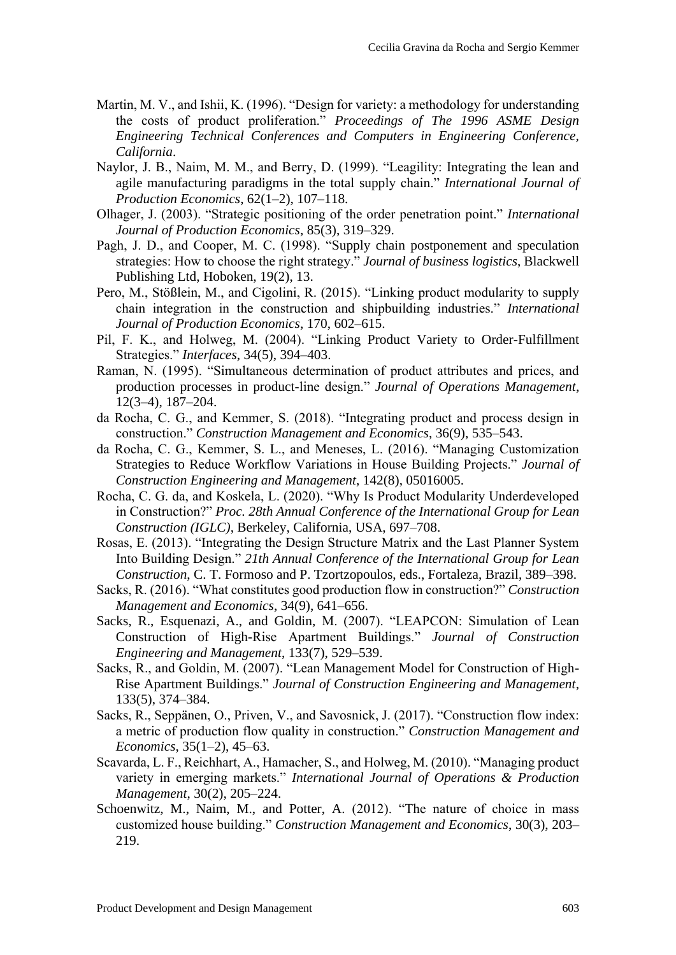- Martin, M. V., and Ishii, K. (1996). "Design for variety: a methodology for understanding the costs of product proliferation." *Proceedings of The 1996 ASME Design Engineering Technical Conferences and Computers in Engineering Conference, California*.
- Naylor, J. B., Naim, M. M., and Berry, D. (1999). "Leagility: Integrating the lean and agile manufacturing paradigms in the total supply chain." *International Journal of Production Economics*, 62(1–2), 107–118.
- Olhager, J. (2003). "Strategic positioning of the order penetration point." *International Journal of Production Economics*, 85(3), 319–329.
- Pagh, J. D., and Cooper, M. C. (1998). "Supply chain postponement and speculation strategies: How to choose the right strategy." *Journal of business logistics*, Blackwell Publishing Ltd, Hoboken, 19(2), 13.
- Pero, M., Stößlein, M., and Cigolini, R. (2015). "Linking product modularity to supply chain integration in the construction and shipbuilding industries." *International Journal of Production Economics*, 170, 602–615.
- Pil, F. K., and Holweg, M. (2004). "Linking Product Variety to Order-Fulfillment Strategies." *Interfaces*, 34(5), 394–403.
- Raman, N. (1995). "Simultaneous determination of product attributes and prices, and production processes in product-line design." *Journal of Operations Management*, 12(3–4), 187–204.
- da Rocha, C. G., and Kemmer, S. (2018). "Integrating product and process design in construction." *Construction Management and Economics*, 36(9), 535–543.
- da Rocha, C. G., Kemmer, S. L., and Meneses, L. (2016). "Managing Customization Strategies to Reduce Workflow Variations in House Building Projects." *Journal of Construction Engineering and Management*, 142(8), 05016005.
- Rocha, C. G. da, and Koskela, L. (2020). "Why Is Product Modularity Underdeveloped in Construction?" *Proc. 28th Annual Conference of the International Group for Lean Construction (IGLC)*, Berkeley, California, USA, 697–708.
- Rosas, E. (2013). "Integrating the Design Structure Matrix and the Last Planner System Into Building Design." *21th Annual Conference of the International Group for Lean Construction*, C. T. Formoso and P. Tzortzopoulos, eds., Fortaleza, Brazil, 389–398.
- Sacks, R. (2016). "What constitutes good production flow in construction?" *Construction Management and Economics*, 34(9), 641–656.
- Sacks, R., Esquenazi, A., and Goldin, M. (2007). "LEAPCON: Simulation of Lean Construction of High-Rise Apartment Buildings." *Journal of Construction Engineering and Management*, 133(7), 529–539.
- Sacks, R., and Goldin, M. (2007). "Lean Management Model for Construction of High-Rise Apartment Buildings." *Journal of Construction Engineering and Management*, 133(5), 374–384.
- Sacks, R., Seppänen, O., Priven, V., and Savosnick, J. (2017). "Construction flow index: a metric of production flow quality in construction." *Construction Management and Economics*, 35(1–2), 45–63.
- Scavarda, L. F., Reichhart, A., Hamacher, S., and Holweg, M. (2010). "Managing product variety in emerging markets." *International Journal of Operations & Production Management*, 30(2), 205–224.
- Schoenwitz, M., Naim, M., and Potter, A. (2012). "The nature of choice in mass customized house building." *Construction Management and Economics*, 30(3), 203– 219.